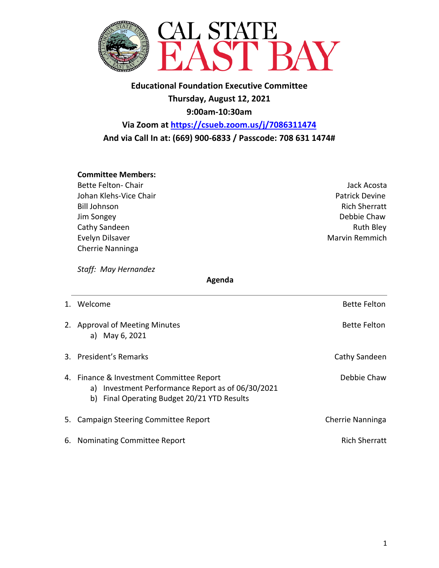

**Educational Foundation Executive Committee Thursday, August 12, 2021 9:00am-10:30am**

**Via Zoom at https://csueb.zoom.us/j/7086311474 And via Call In at: (669) 900-6833 / Passcode: 708 631 1474#**

## **Committee Members:**

- Bette Felton- Chair Jack Acosta Johan Klehs-Vice Chair **Patrick Devine Patrick Devine Patrick Devine** Bill Johnson **Rich Sherratt** Jim Songey Debbie Chaw Cathy Sandeen **Ruth Bley** Evelyn Dilsaver **Marvin Remmich** Cherrie Nanninga
	-

*Staff: May Hernandez* 

 **Agenda**

| 1. Welcome                                                                                                                                   | <b>Bette Felton</b>  |
|----------------------------------------------------------------------------------------------------------------------------------------------|----------------------|
| 2. Approval of Meeting Minutes<br>a) May 6, 2021                                                                                             | <b>Bette Felton</b>  |
| 3. President's Remarks                                                                                                                       | Cathy Sandeen        |
| 4. Finance & Investment Committee Report<br>a) Investment Performance Report as of 06/30/2021<br>b) Final Operating Budget 20/21 YTD Results | Debbie Chaw          |
| 5. Campaign Steering Committee Report                                                                                                        | Cherrie Nanninga     |
| 6. Nominating Committee Report                                                                                                               | <b>Rich Sherratt</b> |